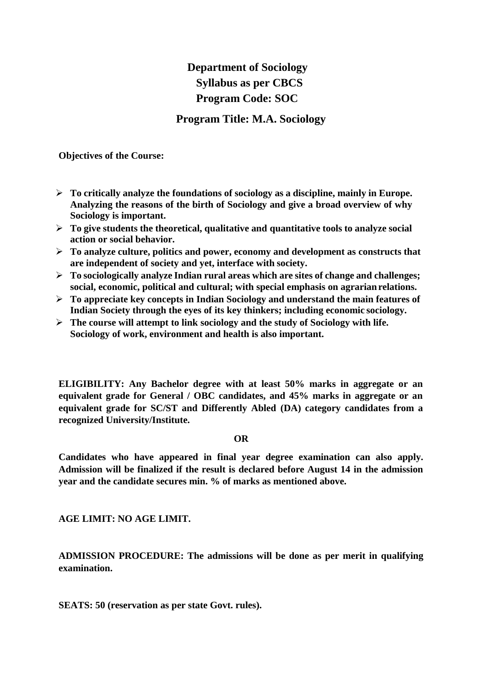## **Department of Sociology Syllabus as per CBCS Program Code: SOC**

**Program Title: M.A. Sociology**

**Objectives of the Course:**

- **To critically analyze the foundations of sociology as a discipline, mainly in Europe. Analyzing the reasons of the birth of Sociology and give a broad overview of why Sociology is important.**
- **To give students the theoretical, qualitative and quantitative tools to analyze social action or social behavior.**
- **To analyze culture, politics and power, economy and development as constructs that are independent of society and yet, interface with society.**
- **To sociologically analyze Indian rural areas which are sites of change and challenges; social, economic, political and cultural; with special emphasis on agrarianrelations.**
- **To appreciate key concepts in Indian Sociology and understand the main features of Indian Society through the eyes of its key thinkers; including economic sociology.**
- **The course will attempt to link sociology and the study of Sociology with life. Sociology of work, environment and health is also important.**

**ELIGIBILITY: Any Bachelor degree with at least 50% marks in aggregate or an equivalent grade for General / OBC candidates, and 45% marks in aggregate or an equivalent grade for SC/ST and Differently Abled (DA) category candidates from a recognized University/Institute.**

#### **OR**

**Candidates who have appeared in final year degree examination can also apply. Admission will be finalized if the result is declared before August 14 in the admission year and the candidate secures min. % of marks as mentioned above.**

**AGE LIMIT: NO AGE LIMIT.**

**ADMISSION PROCEDURE: The admissions will be done as per merit in qualifying examination.**

**SEATS: 50 (reservation as per state Govt. rules).**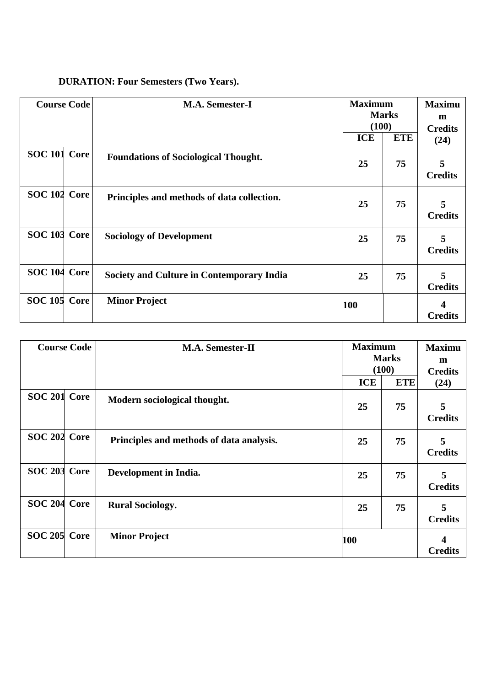| <b>DURATION: Four Semesters (Two Years).</b> |  |  |  |  |
|----------------------------------------------|--|--|--|--|
|----------------------------------------------|--|--|--|--|

| <b>Course Code</b> | <b>M.A. Semester-I</b>                           | <b>ICE</b> | <b>Maximum</b><br><b>Marks</b><br>(100)<br><b>ETE</b> |                     |
|--------------------|--------------------------------------------------|------------|-------------------------------------------------------|---------------------|
| SOC 101 Core       | <b>Foundations of Sociological Thought.</b>      | 25         | 75                                                    | 5<br><b>Credits</b> |
| SOC 102 Core       | Principles and methods of data collection.       | 25         | 75                                                    | 5<br><b>Credits</b> |
| SOC 103 Core       | <b>Sociology of Development</b>                  | 25         | 75                                                    | 5<br><b>Credits</b> |
| SOC 104 Core       | <b>Society and Culture in Contemporary India</b> | 25         | 75                                                    | 5<br><b>Credits</b> |
| SOC 105 Core       | <b>Minor Project</b>                             | 100        |                                                       | <b>Credits</b>      |

| <b>Course Code</b> |  | M.A. Semester-II                         |            | <b>Maximum</b><br><b>Marks</b><br>(100) |                        |
|--------------------|--|------------------------------------------|------------|-----------------------------------------|------------------------|
|                    |  |                                          | <b>ICE</b> | <b>ETE</b>                              | <b>Credits</b><br>(24) |
| SOC 201 Core       |  | Modern sociological thought.             | 25         | 75                                      | 5<br><b>Credits</b>    |
| SOC 202 Core       |  | Principles and methods of data analysis. | 25         | 75                                      | 5<br><b>Credits</b>    |
| SOC 203 Core       |  | Development in India.                    | 25         | 75                                      | 5<br><b>Credits</b>    |
| SOC 204 Core       |  | <b>Rural Sociology.</b>                  | 25         | 75                                      | 5<br><b>Credits</b>    |
| SOC 205 Core       |  | <b>Minor Project</b>                     | 100        |                                         | 4<br><b>Credits</b>    |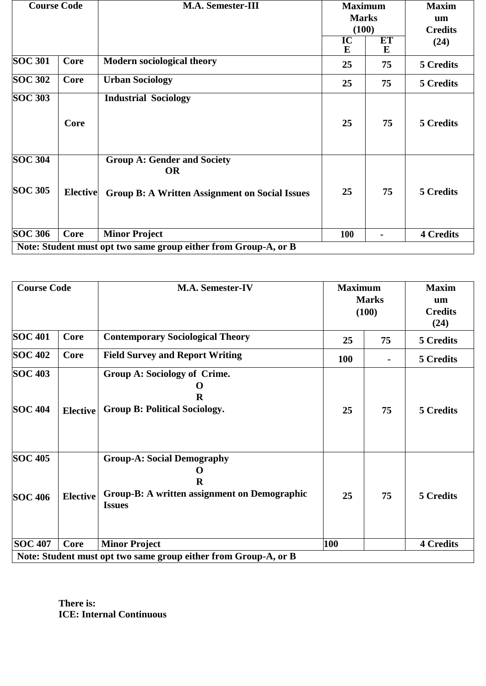| <b>Course Code</b>          |                 | <b>M.A. Semester-III</b>                                                                                 | <b>Maximum</b><br><b>Marks</b><br>(100) |         | <b>Maxim</b><br>um<br><b>Credits</b> |
|-----------------------------|-----------------|----------------------------------------------------------------------------------------------------------|-----------------------------------------|---------|--------------------------------------|
|                             |                 |                                                                                                          | IC<br>E                                 | ET<br>E | (24)                                 |
| <b>SOC 301</b>              | Core            | <b>Modern sociological theory</b>                                                                        | 25                                      | 75      | 5 Credits                            |
| <b>SOC 302</b>              | Core            | <b>Urban Sociology</b>                                                                                   | 25                                      | 75      | 5 Credits                            |
| <b>SOC 303</b>              | Core            | <b>Industrial Sociology</b>                                                                              | 25                                      | 75      | 5 Credits                            |
| $SOC$ 304<br><b>SOC 305</b> | <b>Elective</b> | <b>Group A: Gender and Society</b><br><b>OR</b><br><b>Group B: A Written Assignment on Social Issues</b> | 25                                      | 75      | 5 Credits                            |
| <b>SOC 306</b>              | Core            | <b>Minor Project</b><br>Note: Student must opt two same group either from Group-A, or B                  | 100                                     |         | <b>4 Credits</b>                     |

| <b>Course Code</b>               |                 | <b>M.A. Semester-IV</b>                                                                                                    | <b>Maximum</b><br><b>Marks</b><br>(100) |    | <b>Maxim</b><br>um<br><b>Credits</b><br>(24) |
|----------------------------------|-----------------|----------------------------------------------------------------------------------------------------------------------------|-----------------------------------------|----|----------------------------------------------|
| <b>SOC 401</b>                   | Core            | <b>Contemporary Sociological Theory</b>                                                                                    | 25                                      | 75 | 5 Credits                                    |
| <b>SOC 402</b>                   | Core            | <b>Field Survey and Report Writing</b>                                                                                     | 100                                     |    | 5 Credits                                    |
| <b>SOC 403</b><br><b>SOC 404</b> | <b>Elective</b> | Group A: Sociology of Crime.<br>O<br>R<br><b>Group B: Political Sociology.</b>                                             | 25                                      | 75 | 5 Credits                                    |
| <b>SOC 405</b><br><b>SOC 406</b> | <b>Elective</b> | <b>Group-A: Social Demography</b><br>$\Omega$<br>$\bf{R}$<br>Group-B: A written assignment on Demographic<br><b>Issues</b> | 25                                      | 75 | 5 Credits                                    |
| <b>SOC 407</b>                   | Core            | <b>Minor Project</b>                                                                                                       | 100                                     |    | <b>4 Credits</b>                             |
|                                  |                 | Note: Student must opt two same group either from Group-A, or B                                                            |                                         |    |                                              |

**There is: ICE: Internal Continuous**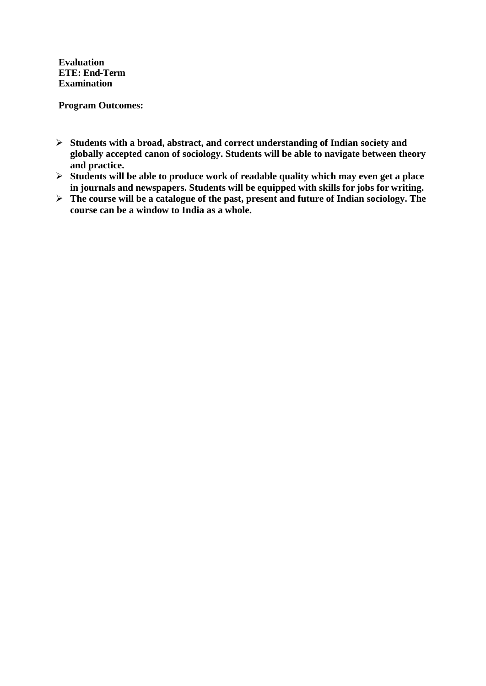**Evaluation ETE: End-Term Examination**

**Program Outcomes:**

- **Students with a broad, abstract, and correct understanding of Indian society and globally accepted canon of sociology. Students will be able to navigate between theory and practice.**
- **Students will be able to produce work of readable quality which may even get a place in journals and newspapers. Students will be equipped with skills for jobs for writing.**
- **The course will be a catalogue of the past, present and future of Indian sociology. The course can be a window to India as a whole.**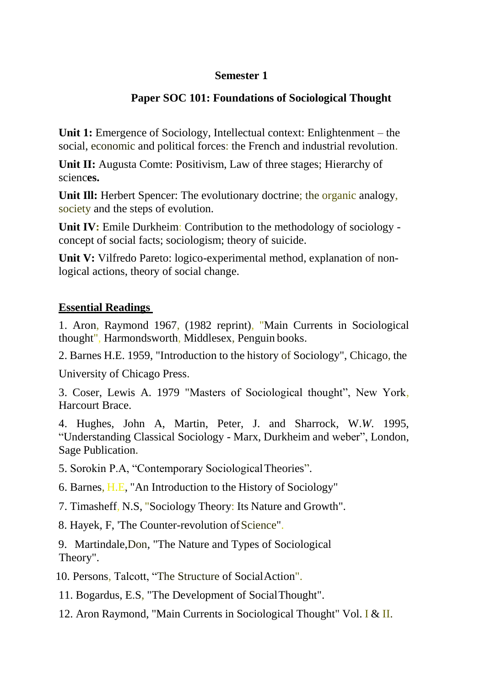### **Semester 1**

### **Paper SOC 101: Foundations of Sociological Thought**

**Unit 1:** Emergence of Sociology, Intellectual context: Enlightenment – the social, economic and political forces: the French and industrial revolution.

**Unit II:** Augusta Comte: Positivism, Law of three stages; Hierarchy of scienc**es.**

Unit III: Herbert Spencer: The evolutionary doctrine; the organic analogy, society and the steps of evolution.

**Unit IV:** Emile Durkheim: Contribution to the methodology of sociology concept of social facts; sociologism; theory of suicide.

**Unit V:** Vilfredo Pareto: logico-experimental method, explanation of nonlogical actions, theory of social change.

### **Essential Readings**

1. Aron, Raymond 1967, (1982 reprint), "Main Currents in Sociological thought", Harmondsworth, Middlesex, Penguin books.

2. Barnes H.E. 1959, "Introduction to the history of Sociology", Chicago, the

University of Chicago Press.

3. Coser, Lewis A. 1979 "Masters of Sociological thought", New York, Harcourt Brace.

4. Hughes, John A, Martin, Peter, J. and Sharrock, W.*W*. 1995, "Understanding Classical Sociology - Marx, Durkheim and weber", London, Sage Publication.

5. Sorokin P.A, "Contemporary SociologicalTheories".

6. Barnes, H.E, "An Introduction to the History of Sociology"

7. Timasheff, N.S, "Sociology Theory: Its Nature and Growth".

8. Hayek, F, 'The Counter-revolution of Science''.

9. Martindale,Don, "The Nature and Types of Sociological Theory".

10. Persons, Talcott, "The Structure of SocialAction".

11. Bogardus, E.S, "The Development of SocialThought".

12. Aron Raymond, "Main Currents in Sociological Thought" Vol. I & II.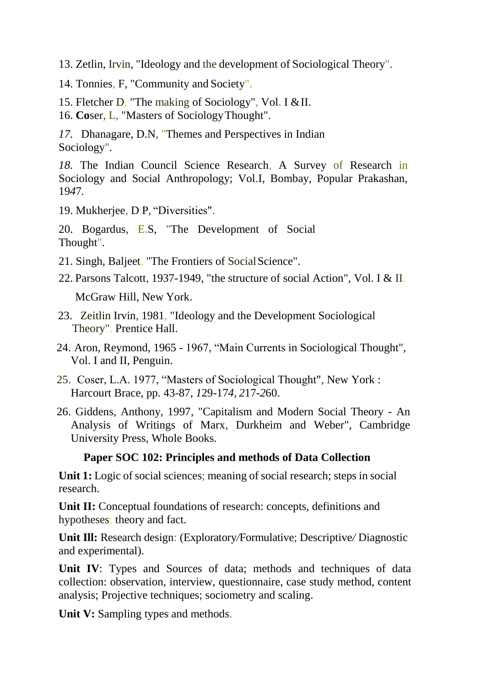- 13. Zetlin, Irvin, "Ideology and the development of Sociological Theory".
- 14. Tonnies, F, "Community and Society".
- 15. Fletcher D, "The making of Sociology", Vol. I &II.
- 16. **Co**ser, L, "Masters of SociologyThought".
- *17.* Dhanagare, D.N, "Themes and Perspectives in Indian Sociology"*.*

*18.* The Indian Council Science Research, A Survey of Research in Sociology and Social Anthropology; Vol.I, Bombay, Popular Prakashan, 19*4*7*.*

19. Mukherjee, D.P, "Diversities".

20. Bogardus, E.S, "The Development of Social Thought".

- 21. Singh, Baljeet, "The Frontiers of Social Science".
- 22. Parsons Talcott, 1937-1949, "the structure of social Action", Vol. I & II.

McGraw Hill, New York.

- 23. Zeitlin Irvin, 1981, "Ideology and the Development Sociological Theory". Prentice Hall.
- 24. Aron, Reymond, 1965 1967, "Main Currents in Sociological Thought", Vol. I and II, Penguin.
- 25. Coser, L.A. 1977, "Masters of Sociological Thought", New York : Harcourt Brace, pp. 43-87, *1*29-17*4, 2*17-*2*60.
- 26. Giddens, Anthony, 1997, "Capitalism and Modern Social Theory An Analysis of Writings of Marx, Durkheim and Weber", Cambridge University Press, Whole Books.

#### **Paper SOC 102: Principles and methods of Data Collection**

**Unit 1:** Logic of social sciences; meaning of social research; steps in social research.

Unit II: Conceptual foundations of research: concepts, definitions and hypotheses; theory and fact.

**Unit Ill:** Research design: (Exploratory*/*Formulative; Descriptive*/* Diagnostic and experimental).

Unit IV: Types and Sources of data; methods and techniques of data collection: observation, interview, questionnaire, case study method, content analysis; Projective techniques; sociometry and scaling.

Unit V: Sampling types and methods.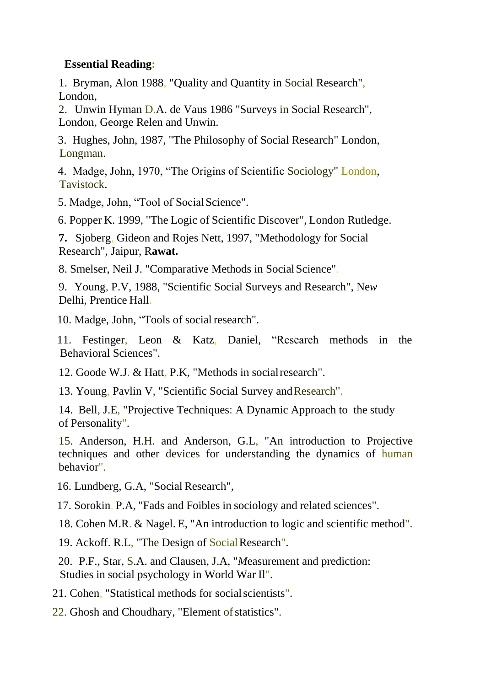### **Essential Reading:**

1. Bryman, Alon 1988, "Quality and Quantity in Social Research", London,

2. Unwin Hyman D.A. de Vaus 1986 "Surveys in Social Research", London, George Relen and Unwin.

3. Hughes, John, 1987, "The Philosophy of Social Research" London, Longman.

4. Madge, John, 1970, "The Origins of Scientific Sociology" London, Tavistock.

5. Madge, John, "Tool of SocialScience".

6. Popper K. 1999, "The Logic of Scientific Discover", London Rutledge.

**7.** Sjoberg, Gideon and Rojes Nett, 1997, "Methodology for Social Research", Jaipur, R**awat.**

8. Smelser, Neil J. "Comparative Methods in SocialScience".

9. Young, P.V, 1988, "Scientific Social Surveys and Research", Ne*w*  Delhi, Prentice Hall.

10. Madge, John, "Tools of social research".

11. Festinger, Leon & Katz, Daniel, "Research methods in the Behavioral Sciences".

12. Goode W.J. & Hatt, P.K, "Methods in socialresearch".

13. Young, Pavlin V, "Scientific Social Survey andResearch".

14. Bell, J.E, "Projective Techniques: A Dynamic Approach to the study of Personality".

15. Anderson, H.H. and Anderson, G.L, "An introduction to Projective techniques and other devices for understanding the dynamics of human behavior".

16. Lundberg, G*.*A, "Social Research",

17. Sorokin. P.A, "Fads and Foibles in sociology and related sciences".

18. Cohen M.R. & Nagel. E, "An introduction to logic and scientific method".

19. Ackoff. R.L, "The Design of Social Research".

20. P.F., Star, S.A. and Clausen, J.A, "*M*easurement and prediction: Studies in social psychology in World War Il".

21. Cohen, "Statistical methods for socialscientists".

22. Ghosh and Choudhary, "Element of statistics".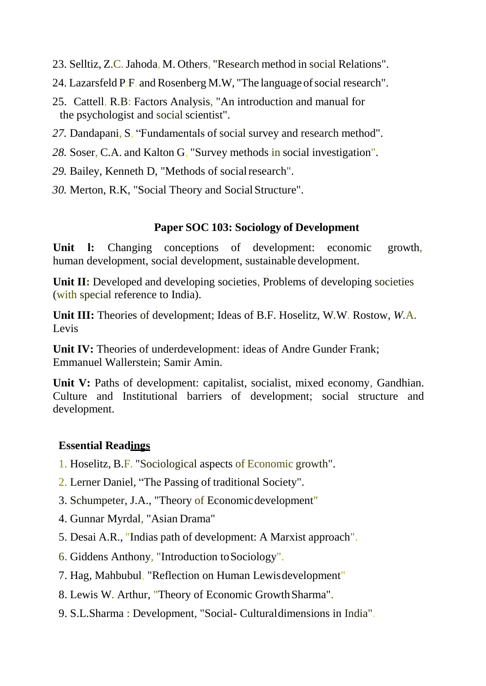- 23. Selltiz, Z.C.Jahoda, M. Others, "Research method in social Relations".
- 24. Lazarsfeld P.F. and Rosenberg M.W, "The language of social research".
- 25. Cattell, R.B: Factors Analysis, "An introduction and manual for the psychologist and social scientist".
- *27.* Dandapani, S, "Fundamentals of social survey and research method".
- *28.* Soser, C.A. and Kalton G, "Survey methods in social investigation".
- 29. Bailey, Kenneth D, "Methods of social research".
- *30.* Merton, R.K, "Social Theory and Social Structure".

### **Paper SOC 103: Sociology of Development**

**Unit l:** Changing conceptions of development: economic growth, human development, social development, sustainable development.

Unit II: Developed and developing societies, Problems of developing societies (with special reference to India).

**Unit III:** Theories of development; Ideas of B.F. Hoselitz, W*.*W. Rostow*, W.*A. Levis

**Unit IV:** Theories of underdevelopment: ideas of Andre Gunder Frank; Emmanuel Wallerstein; Samir Amin.

Unit V: Paths of development: capitalist, socialist, mixed economy, Gandhian. Culture and Institutional barriers of development; social structure and development.

### **Essential Readings**

- 1. Hoselitz, B.F. "Sociological aspects of Economic growth".
- 2. Lerner Daniel, "The Passing of traditional Society".
- 3. Schumpeter, J.A., "Theory of Economicdevelopment"
- 4. Gunnar Myrdal, "Asian Drama"
- 5. Desai A.R., "Indias path of development: A Marxist approach".
- 6. Giddens Anthony, "Introduction toSociology".
- 7. Hag, Mahbubul, "Reflection on Human Lewisdevelopment"
- 8. Lewis W. Arthur, "Theory of Economic GrowthSharma".
- 9. S.L.Sharma : Development, "Social- Culturaldimensions in India".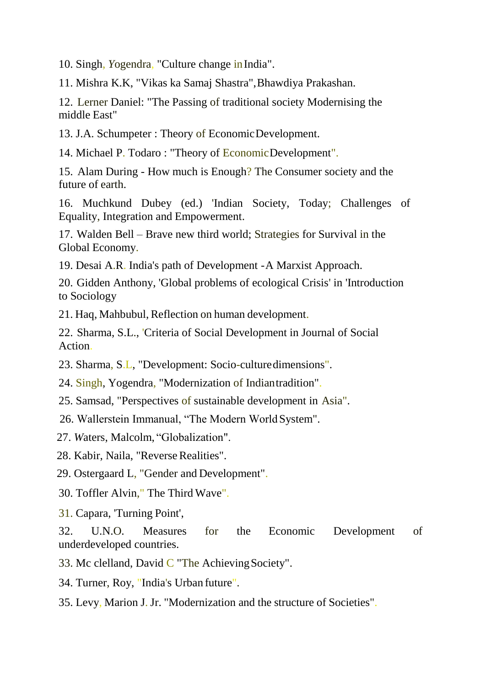10. Singh, *Y*ogendra, "Culture change inIndia".

11. Mishra K.K, "Vikas ka Samaj Shastra",Bhawdiya Prakashan.

12. Lerner Daniel: "The Passing of traditional society Modernising the middle East"

13. J.A. Schumpeter : Theory of EconomicDevelopment.

14. Michael P. Todaro : "Theory of EconomicDevelopment".

15. Alam During - How much is Enough? The Consumer society and the future of earth.

16. Muchkund Dubey (ed.) 'Indian Society, Today; Challenges of Equality, Integration and Empowerment.

17. Walden Bell – Brave new third world; Strategies for Survival in the Global Economy.

19. Desai A.R. India's path of Development -A Marxist Approach.

20. Gidden Anthony, 'Global problems of ecological Crisis' in 'Introduction to Sociology

21. Haq, Mahbubul, Reflection on human development.

22. Sharma, S.L., 'Criteria of Social Development in Journal of Social Action.

23. Sharma, S.L, "Development: Socio-culturedimensions".

24. Singh, Yogendra, "Modernization of Indiantradition".

25. Samsad, "Perspectives of sustainable development in Asia".

26. Wallerstein Immanual, "The Modern WorldSystem".

27. *W*aters, Malcolm, "Globalization".

28. Kabir, Naila, "Reverse Realities".

29. Ostergaard L, "Gender and Development".

30. Toffler Alvin," The Third Wave".

31. Capara, 'Turning Point',

32. U.N.O. Measures for the Economic Development of underdeveloped countries.

33. Mc clelland, David  $\overline{C}$  "The Achieving Society".

34. Turner, Roy, "India's Urban future".

35. Levy, Marion J. Jr. "Modernization and the structure of Societies".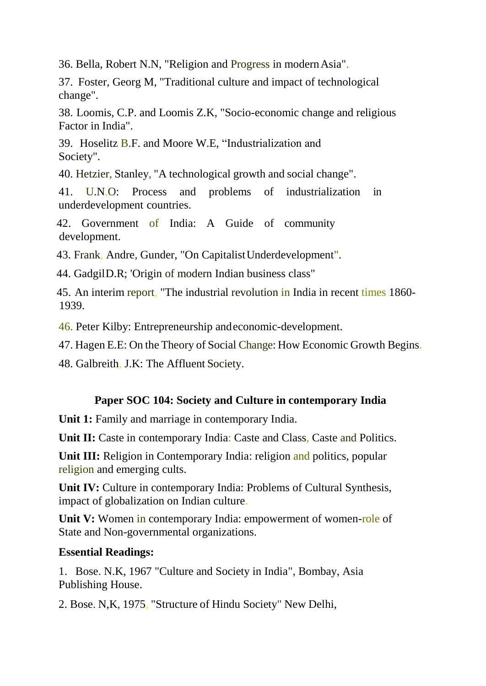36. Bella, Robert N.N, "Religion and Progress in modernAsia".

37. Foster, Georg M, "Traditional culture and impact of technological change".

38. Loomis, C.P. and Loomis Z.K, "Socio-economic change and religious Factor in India".

39. Hoselitz B.F. and Moore W.E, "Industrialization and Society".

40. Hetzier, Stanley, "A technological growth and social change".

41. U.N.O: Process and problems of industrialization in underdevelopment countries.

42. Government of India: A Guide of community development.

43. Frank, Andre, Gunder, "On CapitalistUnderdevelopment".

44. GadgilD.R; 'Origin of modern Indian business class"

45. An interim report, "The industrial revolution in India in recent times 1860- 1939.

46. Peter Kilby: Entrepreneurship andeconomic-development.

47. Hagen E.E: On the Theory of Social Change: How Economic Growth Begins.

48. Galbreith, J.K: The Affluent Society.

### **Paper SOC 104: Society and Culture in contemporary India**

**Unit 1:** Family and marriage in contemporary India.

Unit II: Caste in contemporary India: Caste and Class, Caste and Politics.

**Unit III:** Religion in Contemporary India: religion and politics, popular religion and emerging cults.

Unit IV: Culture in contemporary India: Problems of Cultural Synthesis, impact of globalization on Indian culture.

**Unit V:** Women in contemporary India: empowerment of women-role of State and Non-governmental organizations.

### **Essential Readings:**

1. Bose. N.K, 1967 "Culture and Society in India", Bombay, Asia Publishing House.

2. Bose. N,K, 1975, "Structure of Hindu Society" New Delhi,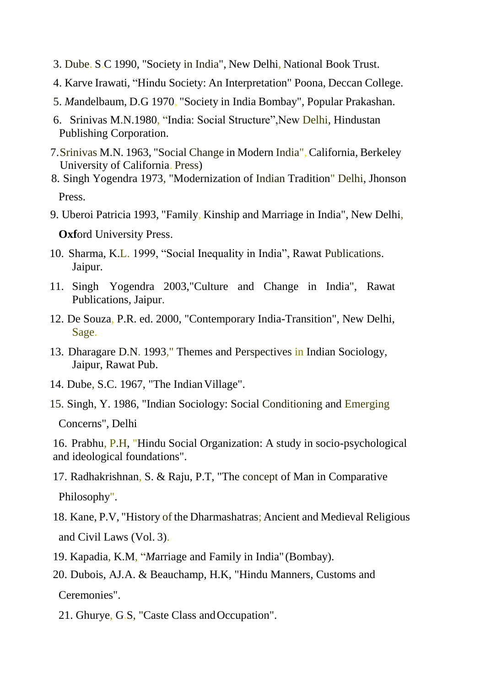- 3. Dube. S.C 1990, "Society in India", New Delhi, National Book Trust.
- 4. Karve Irawati, "Hindu Society: An Interpretation" Poona, Deccan College.
- 5. *M*andelbaum, D.G 1970, "Society in India Bombay", Popular Prakashan.
- 6. Srinivas M.N.1980, "India: Social Structure",New Delhi, Hindustan Publishing Corporation.
- 7.Srinivas M.N. 1963, "Social Change in Modern India", California, Berkeley University of California. Press)
- 8. Singh Yogendra 1973, "Modernization of Indian Tradition" Delhi, Jhonson Press.
- 9. Uberoi Patricia 1993, "Family, Kinship and Marriage in India", New Delhi, **Oxf**ord University Press.
- 10. Sharma, K.L. 1999, "Social Inequality in India", Rawat Publications. Jaipur.
- 11. Singh Yogendra 2003,"Culture and Change in India", Rawat Publications, Jaipur.
- 12. De Souza, P.R. ed. 2000, "Contemporary India-Transition", New Delhi, Sage.
- 13. Dharagare D.N. 1993," Themes and Perspectives in Indian Sociology, Jaipur, Rawat Pub.
- 14. Dube, S.C. 1967, "The Indian Village".
- 15. Singh, Y. 1986, "Indian Sociology: Social Conditioning and Emerging Concerns", Delhi

16. Prabhu, P.H, "Hindu Social Organization: A study in socio-psychological and ideological foundations".

- 17. Radhakrishnan, S. & Raju, P.T, "The concept of Man in Comparative Philosophy".
- 18. Kane, P.V, "History of the Dharmashatras; Ancient and Medieval Religious and Civil Laws (Vol. 3).
- 19. Kapadia, K.M, "*M*arriage and Family in India" (Bombay).
- 20. Dubois, AJ*.*A. & Beauchamp, H.K, "Hindu Manners, Customs and Ceremonies".
	- 21. Ghurye, G.S. "Caste Class and Occupation".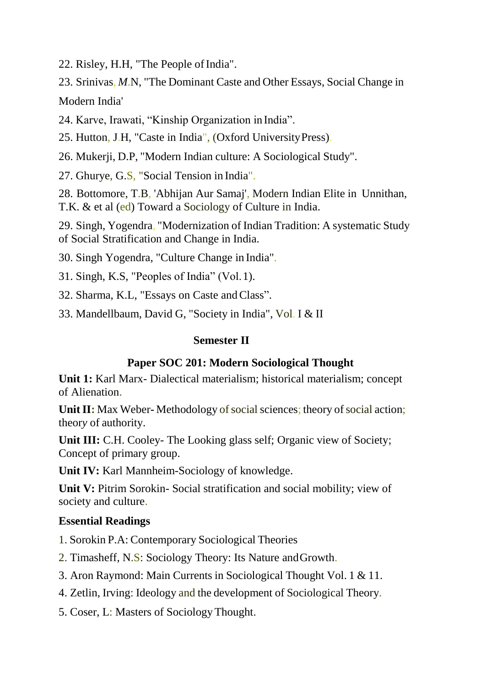22. Risley, H.H, "The People of India".

23. Srinivas, *M*.N, "The Dominant Caste and Other Essays, Social Change in

Modern India'

24. Karve, Irawati, "Kinship Organization in India".

25. Hutton, J.H, "Caste in India", (Oxford UniversityPress).

26. Mukerji, D.P, "Modern Indian culture: A Sociological Study".

27. Ghurye, G.S, "Social Tension in India".

28. Bottomore, T.B, 'Abhijan Aur Samaj', Modern Indian Elite in Unnithan, T.K. & et al (ed) Toward a Sociology of Culture in India.

29. Singh, Yogendra, "Modernization of Indian Tradition: A systematic Study of Social Stratification and Change in India.

30. Singh Yogendra, "Culture Change in India".

31. Singh, K.S, "Peoples of India" (Vol.1).

32. Sharma, K.L, "Essays on Caste and Class".

33. Mandellbaum, David G, "Society in India", Vol. I & II

### **Semester II**

## **Paper SOC 201: Modern Sociological Thought**

**Unit 1:** Karl Marx- Dialectical materialism; historical materialism; concept of Alienation.

**Unit II:** Max Weber-Methodology of social sciences; theory of social action; theor*y* of authority.

**Unit III:** C.H. Cooley- The Looking glass self; Organic view of Society; Concept of primary group.

**Unit IV:** Karl Mannheim-Sociology of knowledge.

Unit V: Pitrim Sorokin- Social stratification and social mobility; view of society and culture.

# **Essential Readings**

1. Sorokin P.A: Contemporary Sociological Theories

2. Timasheff, N.S: Sociology Theory: Its Nature andGrowth.

3. Aron Raymond: Main Currents in Sociological Thought Vol. 1 & 11.

4. Zetlin, Irving: Ideology and the development of Sociological Theory.

5. Coser, L: Masters of SociologyThought.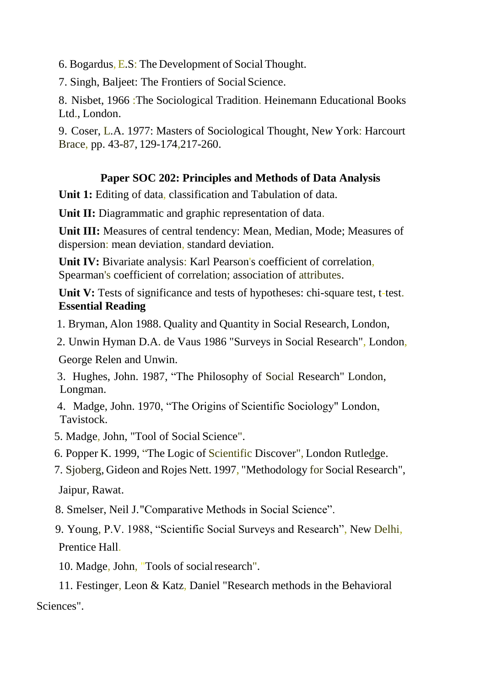6. Bogardus,  $E.S$ : The Development of Social Thought.

7. Singh, Baljeet: The Frontiers of Social Science.

8. Nisbet, 1966 :The Sociological Tradition. Heinemann Educational Books Ltd., London.

9. Coser, L*.*A. 1*9*77: Masters of Sociological Thought, Ne*w* York: Harcourt Brace, pp. 43-87, 129-1*7*4,217-260.

## **Paper SOC 202: Principles and Methods of Data Analysis**

**Unit 1:** Editing of data, classification and Tabulation of data.

**Unit II:** Diagrammatic and graphic representation of data.

**Unit III:** Measures of central tendency: Mean, Median, Mode; Measures of dispersion: mean deviation, standard deviation.

Unit IV: Bivariate analysis: Karl Pearson's coefficient of correlation, Spearman's coefficient of correlation; association of attributes.

**Unit V:** Tests of significance and tests of hypotheses: chi-square test, t-test. **Essential Reading**

1. Bryman, Alon 1988. Quality and Quantity in Social Research, London,

2. Unwin Hyman D.A. de Vaus 1986 "Surveys in Social Research", London,

George Relen and Unwin.

- 3. Hughes, John. 1987, "The Philosophy of Social Research" London, Longman.
- 4. Madge, John. 1970, "The Origins of Scientific Sociology" London, Tavistock.
- 5. Madge, John, "Tool of Social Science".
- 6. Popper K. 1999, "The Logic of Scientific Discover", London Rutledge.
- 7. Sjoberg, Gideon and Rojes Nett. 1997, "Methodology for Social Research",

Jaipur, Rawat.

8. Smelser, Neil J."Comparative Methods in Social Science".

9. Young, P.V. 1988, "Scientific Social Surveys and Research", New Delhi, Prentice Hall.

10. Madge, John, "Tools of socialresearch".

11. Festinger, Leon & Katz, Daniel "Research methods in the Behavioral Sciences".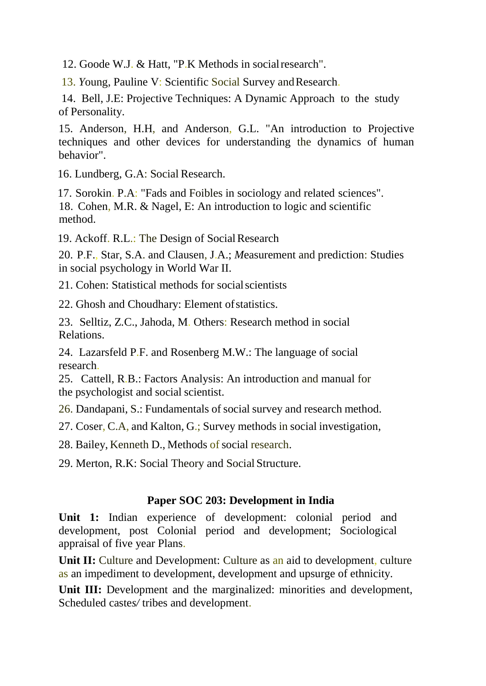12. Goode W.J. & Hatt, "P.K Methods in social research".

13. *Y*oung, Pauline V: Scientific Social Survey andResearch.

14. Bell, J.E: Projective Techniques: A Dynamic Approach to the study of Personality.

15. Anderson, H.H, and Anderson, G.L. "An introduction to Projective techniques and other devices for understanding the dynamics of human behavior".

16. Lundberg, G.A: Social Research.

17. Sorokin. P.A: "Fads and Foibles in sociology and related sciences". 18. Cohen, M.R. & Nagel, E: An introduction to logic and scientific method.

19. Ackoff. R.L.: The Design of Social Research

20. P.F., Star, S.A. and Clausen, J.A.; *M*easurement and prediction: Studies in social psychology in World War II.

21. Cohen: Statistical methods for socialscientists

22. Ghosh and Choudhary: Element ofstatistics.

23. Selltiz, Z*.*C., Jahoda, M. Others: Research method in social Relations.

24. Lazarsfeld P.F. and Rosenberg M.W.: The language of social research.

25. Cattell, R.B.: Factors Analysis: An introduction and manual for the psychologist and social scientist.

26. Dandapani, S.: Fundamentals of social survey and research method.

27. Coser, C.A, and Kalton, G.; Survey methods in social investigation,

28. Bailey, Kenneth D., Methods of social research.

29. Merton, R.K: Social Theory and Social Structure.

#### **Paper SOC 203: Development in India**

**Unit 1:** Indian experience of development: colonial period and development, post Colonial period and development; Sociological appraisal of five year Plans.

**Unit II:** Culture and Development: Culture as an aid to development, culture as an impediment to development, development and upsurge of ethnicity.

Unit III: Development and the marginalized: minorities and development, Scheduled caste*s/* tribes and development.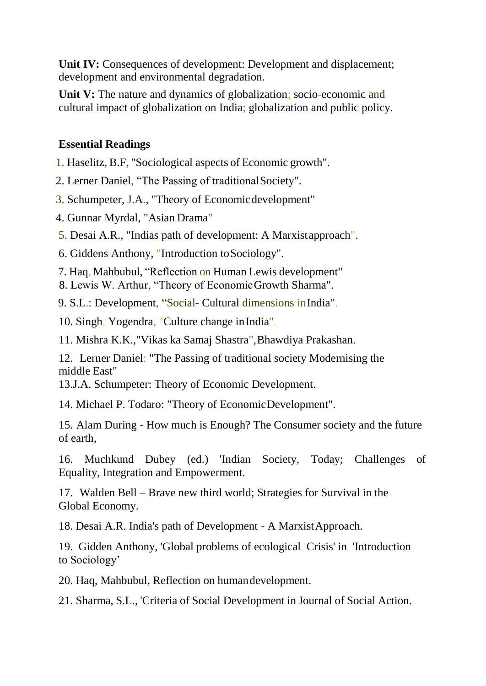Unit IV: Consequences of development: Development and displacement; development and environmental degradation.

**Unit V:** The nature and dynamics of globalization; socio-economic and cultural impact of globalization on India; globalization and public policy.

### **Essential Readings**

- 1. Haselitz, B.F, "Sociological aspects of Economic growth".
- 2. Lerner Daniel, "The Passing of traditionalSociety".
- 3. Schumpeter, J.A., "Theory of Economicdevelopment"
- 4. Gunnar Myrdal, "Asian Drama"
- 5. Desai A.R., "Indias path of development: A Marxistapproach".
- 6. Giddens Anthony, "Introduction toSociology".
- 7. Haq, Mahbubul, "Reflection on Human Lewis development"
- 8. Lewis W. Arthur, "Theory of EconomicGrowth Sharma".

9. S.L.: Development, "Social- Cultural dimensions inIndia".

10. Singh, Yogendra, "Culture change inIndia".

11. Mishra K.K.,"Vikas ka Samaj Shastra",Bhawdiya Prakashan.

12. Lerner Daniel: "The Passing of traditional society Modernising the middle East"

13.J.A. Schumpeter: Theory of Economic Development.

14. Michael P. Todaro: "Theory of EconomicDevelopment".

15. Alam During - How much is Enough? The Consumer society and the future of earth,

16. Muchkund Dubey (ed.) 'Indian Society, Today; Challenges of Equality, Integration and Empowerment.

17. Walden Bell – Brave new third world; Strategies for Survival in the Global Economy.

18. Desai A.R. India's path of Development - A MarxistApproach.

19. Gidden Anthony, 'Global problems of ecological Crisis' in 'Introduction to Sociology'

20. Haq, Mahbubul, Reflection on humandevelopment.

21. Sharma, S.L., 'Criteria of Social Development in Journal of Social Action.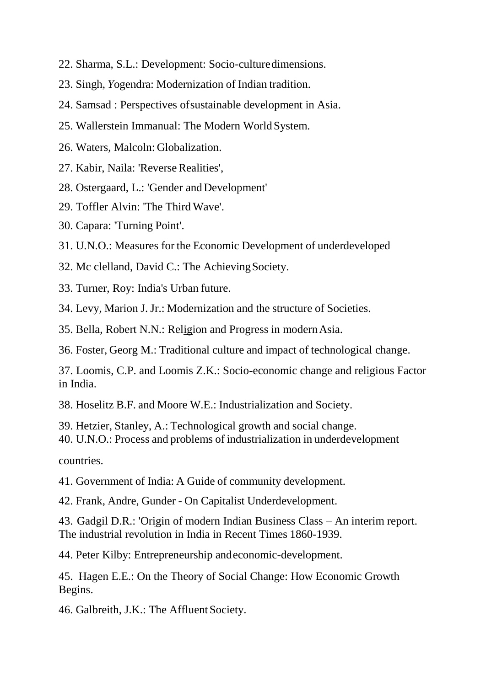- 22. Sharma, S.L.: Development: Socio-culturedimensions.
- 23. Singh, *Y*ogendra: Modernization of Indian tradition.
- 24. Samsad : Perspectives ofsustainable development in Asia.
- 25. Wallerstein Immanual: The Modern WorldSystem.
- 26. Waters, Malcoln: Globalization.
- 27. Kabir, Naila: 'Reverse Realities',
- 28. Ostergaard, L.: 'Gender andDevelopment'
- 29. Toffler Alvin: 'The Third Wave'.
- 30. Capara: 'Turning Point'.
- 31. U.N.O.: Measures for the Economic Development of underdeveloped
- 32. Mc clelland, David C.: The AchievingSociety.
- 33. Turner, Roy: India's Urban future.
- 34. Levy, Marion J. Jr.: Modernization and the structure of Societies.
- 35. Bella, Robert N.N.: Religion and Progress in modernAsia.
- 36. Foster, Georg M.: Traditional culture and impact of technological change.

37. Loomis, C.P. and Loomis Z.K.: Socio-economic change and religious Factor in India.

38. Hoselitz B.F. and Moore W.E.: Industrialization and Society.

- 39. Hetzier, Stanley, A.: Technological growth and social change.
- 40. U.N.O.: Process and problems of industrialization in underdevelopment

countries.

- 41. Government of India: A Guide of community development.
- 42. Frank, Andre, Gunder On Capitalist Underdevelopment.
- 43. Gadgil D.R.: 'Origin of modern Indian Business Class An interim report. The industrial revolution in India in Recent Times 1860-1939.
- 44. Peter Kilby: Entrepreneurship andeconomic-development.
- 45. Hagen E.E.: On the Theory of Social Change: How Economic Growth Begins.
- 46. Galbreith, J.K.: The Affluent Society.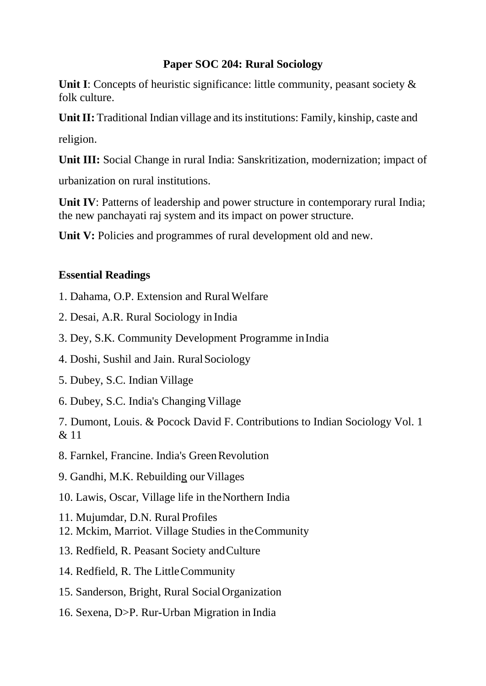### **Paper SOC 204: Rural Sociology**

**Unit I**: Concepts of heuristic significance: little community, peasant society  $\&$ folk culture.

**Unit II:** Traditional Indian village and its institutions: Family, kinship, caste and

religion.

**Unit III:** Social Change in rural India: Sanskritization, modernization; impact of

urbanization on rural institutions.

**Unit IV**: Patterns of leadership and power structure in contemporary rural India; the new panchayati raj system and its impact on power structure.

Unit V: Policies and programmes of rural development old and new.

### **Essential Readings**

- 1. Dahama, O.P. Extension and Rural Welfare
- 2. Desai, A.R. Rural Sociology in India
- 3. Dey, S.K. Community Development Programme inIndia
- 4. Doshi, Sushil and Jain. RuralSociology
- 5. Dubey, S.C. Indian Village
- 6. Dubey, S.C. India's Changing Village

7. Dumont, Louis. & Pocock David F. Contributions to Indian Sociology Vol. 1  $& 11$ 

8. Farnkel, Francine. India's Green Revolution

9. Gandhi, M.K. Rebuilding our Villages

- 10. Lawis, Oscar, Village life in theNorthern India
- 11. Mujumdar, D.N. Rural Profiles
- 12. Mckim, Marriot. Village Studies in theCommunity
- 13. Redfield, R. Peasant Society andCulture
- 14. Redfield, R. The LittleCommunity
- 15. Sanderson, Bright, Rural SocialOrganization
- 16. Sexena, D>P. Rur-Urban Migration in India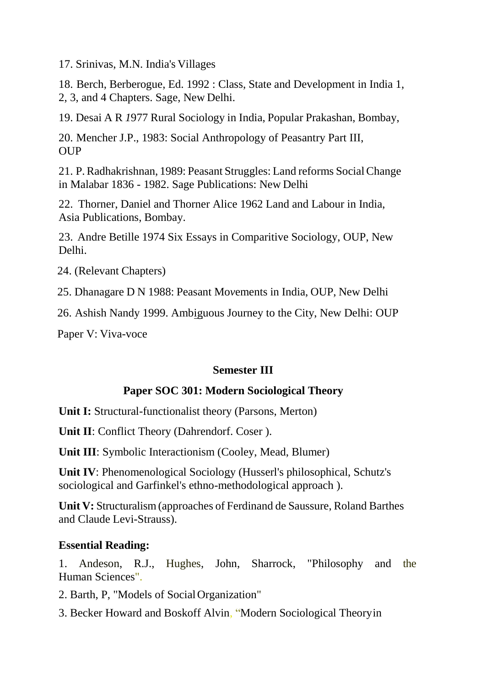17. Srinivas, M.N. India's Villages

18. Berch, Berberogue, Ed. 1992 : Class, State and Development in India 1, 2, 3, and 4 Chapters. Sage, New Delhi.

19. Desai A R *1*977 Rural Sociology in India, Popular Prakashan, Bombay,

20. Mencher J.P., 1983: Social Anthropology of Peasantry Part III, **OUP** 

21. P.Radhakrishnan, 1989: Peasant Struggles: Land reforms SocialChange in Malabar 1836 - 1982. Sage Publications: New Delhi

22. Thorner, Daniel and Thorner Alice 1962 Land and Labour in India, Asia Publications, Bombay.

23. Andre Betille 1974 Six Essays in Comparitive Sociology, OUP, New Delhi.

24. (Relevant Chapters)

25. Dhanagare D N 1988: Peasant Mo*v*ements in India, OUP, New Delhi

26. Ashish Nandy 1999. Ambiguous Journey to the City, New Delhi: OUP

Paper V: Viva*-*voce

### **Semester III**

#### **Paper SOC 301: Modern Sociological Theory**

**Unit I:** Structural-functionalist theory (Parsons, Merton)

**Unit II**: Conflict Theory (Dahrendorf. Coser ).

**Unit III**: Symbolic Interactionism (Cooley, Mead, Blumer)

**Unit IV**: Phenomenological Sociology (Husserl's philosophical, Schutz's sociological and Garfinkel's ethno-methodological approach ).

**Unit V:** Structuralism(approaches of Ferdinand de Saussure, Roland Barthes and Claude Levi-Strauss).

#### **Essential Reading:**

1. Andeson, R.J., Hughes, John, Sharrock, "Philosophy and the Human Sciences".

2. Barth, P, "Models of SocialOrganization"

3. Becker Howard and Boskoff Alvin, "Modern Sociological Theoryin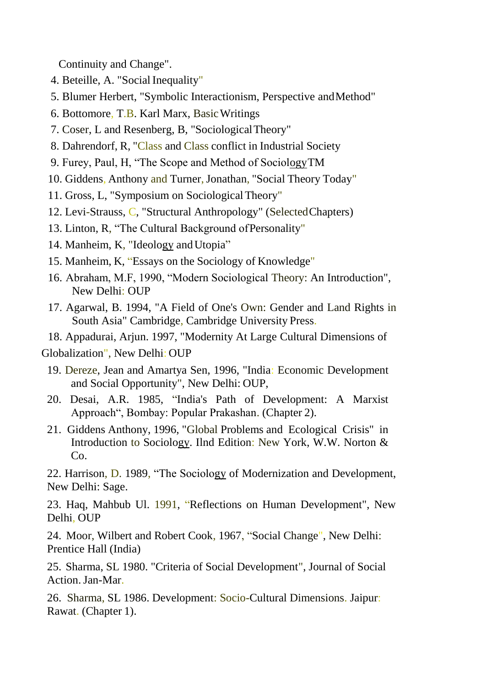Continuity and Change".

- 4. Beteille, A. "Social Inequality"
- 5. Blumer Herbert, "Symbolic Interactionism, Perspective andMethod"
- 6. Bottomore, T.B. Karl Marx, BasicWritings
- 7. Coser, L and Resenberg, B, "SociologicalTheory"
- 8. Dahrendorf, R, "Class and Class conflict in Industrial Society
- 9. Furey, Paul, H, "The Scope and Method of SociologyTM
- 10. Giddens, Anthony and Turner, Jonathan, "Social Theory Today"
- 11. Gross, L, "Symposium on SociologicalTheory"
- 12. Levi-Strauss, C, "Structural Anthropology" (SelectedChapters)
- 13. Linton, R, "The Cultural Background ofPersonality"
- 14. Manheim, K, "Ideology andUtopia"
- 15. Manheim, K, "Essays on the Sociology of Knowledge"
- 16. Abraham, M.F, 1990, "Modern Sociological Theory: An Introduction", New Delhi: OUP
- 17. Agarwal, B. 1994, "A Field of One's Own: Gender and Land Rights in South Asia" Cambridge, Cambridge University Press.

18. Appadurai, Arjun. 1997, "Modernity At Large Cultural Dimensions of Globalization", New Delhi: OUP

- 19. Dereze, Jean and Amartya Sen, 1996, "India: Economic Development and Social Opportunity", New Delhi: OUP,
- 20. Desai, A.R. 1985, "India's Path of Development: A Marxist Approach", Bombay: Popular Prakashan. (Chapter 2).
- 21. Giddens Anthony, 1996, "Global Problems and Ecological Crisis" in Introduction to Sociology. Ilnd Edition: New York, W.W. Norton & Co.

22. Harrison, D. 1989, "The Sociology of Modernization and Development, New Delhi: Sage.

23. Haq, Mahbub Ul. 1991, "Reflections on Human Development", New Delhi, OUP

24. Moor, Wilbert and Robert Cook, 1967, "Social Change", New Delhi: Prentice Hall (India)

25. Sharma, SL 1980. "Criteria of Social Development", Journal of Social Action.Jan-Mar.

26. Sharma, SL 1986. Development: Socio-Cultural Dimensions. Jaipur: Rawat. (Chapter 1).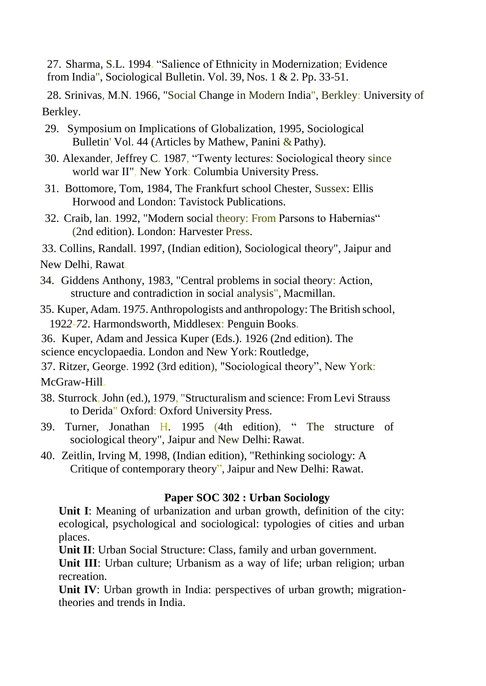27. Sharma, S.L. 1994. "Salience of Ethnicity in Modernization; Evidence from India", Sociological Bulletin. Vol. 39, Nos. 1 & 2. Pp. 33-51.

28. Srinivas, M.N. 1966, "Social Change in Modern India", Berkley: University of Berkley.

- 29. Symposium on Implications of Globalization, 1995, Sociological Bulletin' Vol. 44 (Articles by Mathew, Panini & Pathy).
- 30. Alexander, Jeffrey C. 1987, "Twenty lectures: Sociological theory since world war II", New York: Columbia University Press.
- 31. Bottomore, Tom, 1984, The Frankfurt school Chester, Sussex: Ellis Horwood and London: Tavistock Publications.
- 32. Craib, lan. 1992, "Modern social theory: From Parsons to Habernias" (2nd edition). London: Harvester Press.
- 33. Collins, Randall. 1997, (Indian edition), Sociological theory", Jaipur and

New Delhi, Rawat.

- 34. Giddens Anthony, 1983, "Central problems in social theory: Action, structure and contradiction in social analysis", Macmillan.
- 35. Kuper, Adam. 19*75*.Anthropologists and anthropology: TheBritish school, 192*2-72*. Harmondsworth, Middlesex: Penguin Books.
- 36. Kuper, Adam and Jessica Kuper (Eds.). 1926 (2nd edition). The science encyclopaedia. London and New York: Routledge,
- 37. Ritzer, George. 1992 (3rd edition), "Sociological theory", New York: McGraw-Hill.
- 38. Sturrock,John (ed.), 1*9*79, "Structuralism and science: From Levi Strauss to Derida" Oxford: Oxford University Press.
- 39. Turner, Jonathan H. 1995 (4th edition), " The structure of sociological theory", Jaipur and New Delhi: Rawat.
- 40. Zeitlin, Irving M, 1998, (Indian edition), "Rethinking sociology: A Critique of contemporary theory", Jaipur and New Delhi: Rawat.

## **Paper SOC 302 : Urban Sociology**

**Unit I**: Meaning of urbanization and urban growth, definition of the city: ecological, psychological and sociological: typologies of cities and urban places.

**Unit II**: Urban Social Structure: Class, family and urban government.

Unit III: Urban culture; Urbanism as a way of life; urban religion; urban recreation.

**Unit IV**: Urban growth in India: perspectives of urban growth; migrationtheories and trends in India.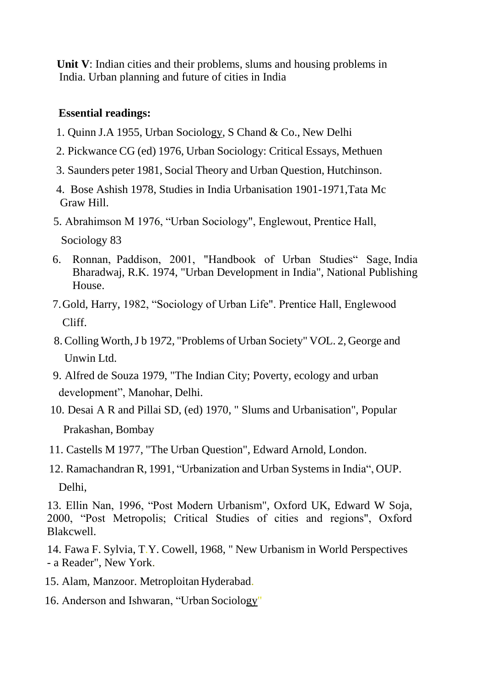**Unit V**: Indian cities and their problems, slums and housing problems in India. Urban planning and future of cities in India

#### **Essential readings:**

- 1. Quinn J.A 1955, Urban Sociology, S Chand & Co., New Delhi
- 2. Pickwance CG (ed) 1976, Urban Sociology: Critical Essays, Methuen
- 3. Saunders peter 1981, Social Theory and Urban Question, Hutchinson.
- 4. Bose Ashish 1978, Studies in India Urbanisation 1901-1*9*71,Tata Mc Graw Hill.
- 5. Abrahimson M 1976, "Urban Sociology", Englewout, Prentice Hall, Sociology 83
- 6. Ronnan, Paddison, 2001, "Handbook of Urban Studies" Sage, India Bharadwaj, R.K. 1974, "Urban Development in India", National Publishing House.
- 7.Gold, Harry, 1982, "Sociology of Urban Life". Prentice Hall, Englewood Cliff.
- 8. Colling Worth,J b 19*7*2, "Problems of Urban Society" V*O*L. 2, George and Unwin Ltd.
- 9. Alfred de Souza 1979, "The Indian City; Poverty, ecology and urban development", Manohar, Delhi.
- 10. Desai A R and Pillai SD, (ed) 1970, " Slums and Urbanisation", Popular Prakashan, Bombay
- 11. Castells M 1977, "The Urban Question", Edward Arnold, London.
- 12. Ramachandran R, 1991, "Urbanization and Urban Systems in India", OUP. Delhi,

13. Ellin Nan, 1996, "Post Modern Urbanism", Oxford UK, Edward W Soja, 2000, "Post Metropolis; Critical Studies of cities and regions", Oxford Blakcwell.

14. Fawa F. Sylvia, T.Y. Cowell, 1968, " New Urbanism in World Perspectives - a Reader", New York.

- 15. Alam, Manzoor. Metroploitan Hyderabad.
- 16. Anderson and Ishwaran, "Urban Sociology"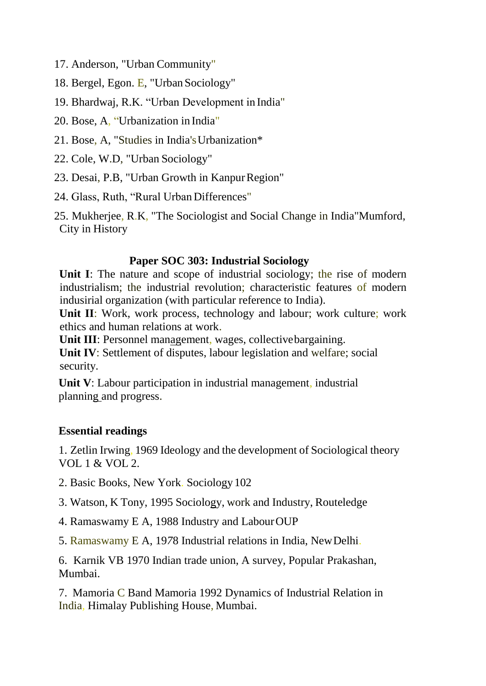- 17. Anderson, "Urban Community"
- 18. Bergel, Egon. E, "Urban Sociology"
- 19. Bhardwaj, R.K. "Urban Development in India"
- 20. Bose, A, "Urbanization in India"
- 21. Bose, A, "Studies in India'sUrbanization\*
- 22. Cole, W.D, "Urban Sociology"
- 23. Desai, P.B, "Urban Growth in KanpurRegion"
- 24. Glass, Ruth, "Rural Urban Differences"

25. Mukherjee, R.K, "The Sociologist and Social Change in India"Mumford, City in History

### **Paper SOC 303: Industrial Sociology**

Unit I: The nature and scope of industrial sociology; the rise of modern industrialism; the industrial revolution; characteristic features of modern indusirial organization (with particular reference to India).

**Unit II**: Work, work process, technology and labour; work culture; work ethics and human relations at work.

**Unit III**: Personnel management, wages, collectivebargaining.

**Unit IV**: Settlement of disputes, labour legislation and welfare; social security.

**Unit V**: Labour participation in industrial management, industrial planning and progress.

### **Essential readings**

1. Zetlin Irwing, 1969 Ideology and the development of Sociological theory VOL 1 & VOL 2.

- 2. Basic Books, New York. Sociology 102
- 3. Watson, K Tony, 1995 Sociology, work and Industry, Routeledge
- 4. Ramaswamy E A, 1988 Industry and LabourOUP
- 5. Ramaswamy E A, 19*7*8 Industrial relations in India, NewDelhi.

6. Karnik VB 1970 Indian trade union, A survey, Popular Prakashan, Mumbai.

7. Mamoria C Band Mamoria 1992 Dynamics of Industrial Relation in India, Himalay Publishing House, Mumbai.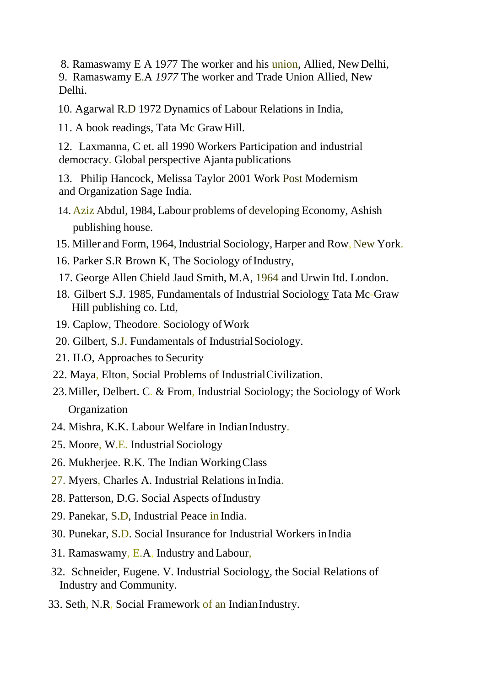8. Ramaswamy E A 19*7*7 The worker and his union, Allied, NewDelhi, 9. Ramaswamy E.A *1977* The worker and Trade Union Allied, New Delhi.

10. Agarwal R.D 1972 Dynamics of Labour Relations in India,

11. A book readings, Tata Mc GrawHill.

12. Laxmanna, C et. all 1990 Workers Participation and industrial democracy. Global perspective Ajanta publications

13. Philip Hancock, Melissa Taylor 2001 Work Post Modernism and Organization Sage India.

- 14. Aziz Abdul, 1984, Labour problems of developing Economy, Ashish publishing house.
- 15. Miller and Form, 1964, Industrial Sociology, Harper and Row, New York.
- 16. Parker S.R Brown K, The Sociology of Industry,
- 17. George Allen Chield Jaud Smith, M.A, 1964 and Urwin Itd. London.
- 18. Gilbert S.J. 1985, Fundamentals of Industrial Sociology Tata Mc-Graw Hill publishing co. Ltd,
- 19. Caplow, Theodore. Sociology ofWork
- 20. Gilbert, S.J. Fundamentals of Industrial Sociology.
- 21. ILO, Approaches to Security
- 22. Maya, Elton, Social Problems of IndustrialCivilization.
- 23.Miller, Delbert. C. & From, Industrial Sociology; the Sociology of Work **Organization**
- 24. Mishra, K.K. Labour Welfare in Indian Industry.
- 25. Moore, W.E. Industrial Sociology
- 26. Mukherjee. R.K. The Indian WorkingClass
- 27. Myers, Charles A. Industrial Relations inIndia.
- 28. Patterson, D.G. Social Aspects of Industry
- 29. Panekar, S.D, Industrial Peace in India.
- 30. Punekar, S.D. Social Insurance for Industrial Workers inIndia
- 31. Ramaswamy, E.A, Industry and Labour,
- 32. Schneider, Eugene. V. Industrial Sociology, the Social Relations of Industry and Community.
- 33. Seth, N.R, Social Framework of an Indian Industry.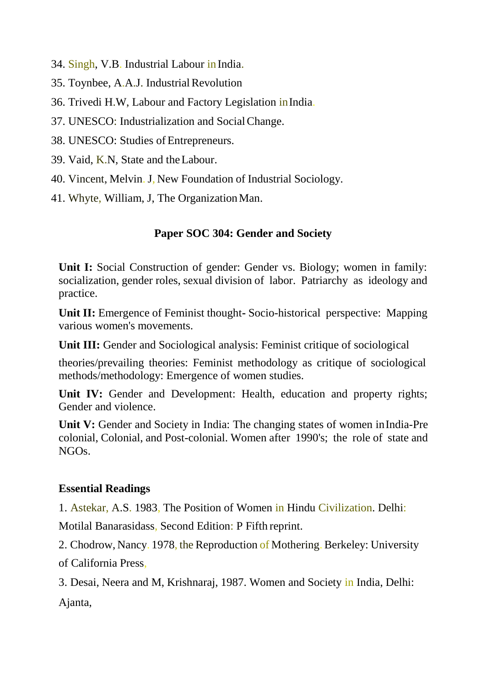- 34. Singh, V.B. Industrial Labour in India.
- 35. Toynbee, A.A.J. Industrial Revolution
- 36. Trivedi H.W, Labour and Factory Legislation inIndia.
- 37. UNESCO: Industrialization and SocialChange.
- 38. UNESCO: Studies of Entrepreneurs.
- 39. Vaid, K.N, State and theLabour.
- 40. Vincent, Melvin. J, New Foundation of Industrial Sociology.
- 41. Whyte, William, J, The Organization Man.

## **Paper SOC 304: Gender and Society**

**Unit I:** Social Construction of gender: Gender vs. Biology; women in family: socialization, gender roles, sexual division of labor. Patriarchy as ideology and practice.

**Unit II:** Emergence of Feminist thought**-** Socio-historical perspective: Mapping various women's movements.

Unit III: Gender and Sociological analysis: Feminist critique of sociological

theories/prevailing theories: Feminist methodology as critique of sociological methods/methodology: Emergence of women studies.

Unit IV: Gender and Development: Health, education and property rights; Gender and violence.

Unit V: Gender and Society in India: The changing states of women inIndia-Pre colonial, Colonial, and Post-colonial. Women after 1990's; the role of state and NGOs.

### **Essential Readings**

1. Astekar, A.S. 1983, The Position of Women in Hindu Civilization. Delhi:

Motilal Banarasidass, Second Edition: P Fifth reprint.

2. Chodrow, Nancy. 1978, the Reproduction of Mothering. Berkeley: University of California Press,

3. Desai, Neera and M, Krishnaraj, 1987. Women and Society in India, Delhi: Ajanta,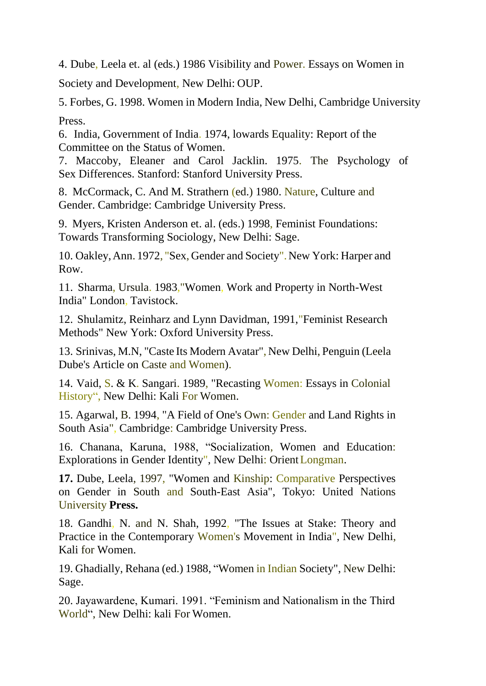4. Dube, Leela et. al (eds.) 1986 Visibility and Power. Essays on Women in Society and Development, New Delhi: OUP.

5. Forbes, G. 1998. Women in Modern India, New Delhi, Cambridge University Press.

6. India, Government of India. 1974, lowards Equality: Report of the Committee on the Status of Women.

7. Maccoby, Eleaner and Carol Jacklin. 1975. The Psychology of Sex Differences. Stanford: Stanford University Press.

8. McCormack, C. And M. Strathern (ed.) 1980. Nature, Culture and Gender. Cambridge: Cambridge University Press.

9. Myers, Kristen Anderson et. al. (eds.) 1998, Feminist Foundations: Towards Transforming Sociology, New Delhi: Sage.

10. Oakley,Ann. 1972, "Sex, Gender and Society".New York: Harper and Row.

11. Sharma, Ursula. 1983,"Women, Work and Property in North-West India" London, Tavistock.

12. Shulamitz, Reinharz and Lynn Davidman, 1991,"Feminist Research Methods" New York: Oxford University Press.

13. Srinivas, M.N, "Caste Its Modern Avatar", New Delhi, Penguin (Leela Dube's Article on Caste and Women).

14. Vaid, S. & K. Sangari. 1989, "Recasting Women: Essays in Colonial History", New Delhi: Kali For Women.

15. Agarwal, B. 1994, "A Field of One's Own: Gender and Land Rights in South Asia", Cambridge: Cambridge University Press.

16. Chanana, Karuna, 1988, "Socialization, Women and Education: Explorations in Gender Identity", New Delhi: OrientLongman.

**17.** Dube, Leela, 1997, "Women and Kinship: Comparative Perspectives on Gender in South and South-East Asia", Tokyo: United Nations University **Press.**

18. Gandhi, N. and N. Shah, 1992, "The Issues at Stake: Theory and Practice in the Contemporary Women's Movement in India", New Delhi, Kali for Women.

19. Ghadially, Rehana (ed.) 1988, "Women in Indian Society", New Delhi: Sage.

20. Jayawardene, Kumari. 1991. "Feminism and Nationalism in the Third World", New Delhi: kali For Women.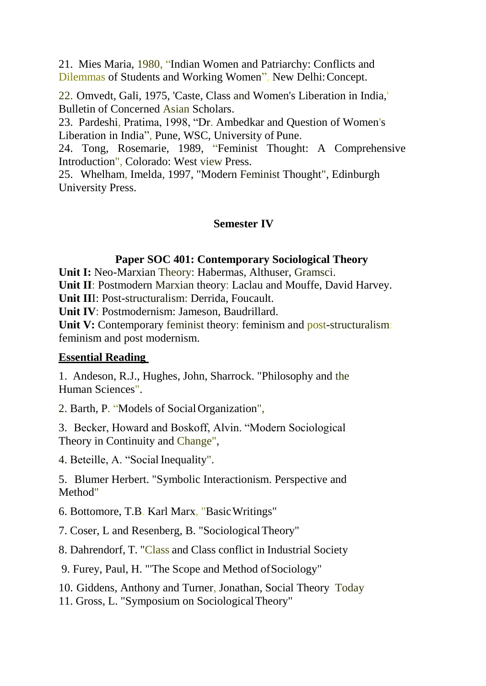21. Mies Maria, 1980, "Indian Women and Patriarchy: Conflicts and Dilemmas of Students and Working Women", New Delhi:Concept.

22. Omvedt, Gali, 1975, 'Caste, Class and Women's Liberation in India,' Bulletin of Concerned Asian Scholars.

23. Pardeshi, Pratima, 1998, "Dr. Ambedkar and Question of Women's Liberation in India", Pune, WSC, University of Pune.

24. Tong, Rosemarie, 1989, "Feminist Thought: A Comprehensive Introduction", Colorado: West view Press.

25. Whelham, Imelda, 1997, "Modern Feminist Thought", Edinburgh University Press.

### **Semester IV**

### **Paper SOC 401: Contemporary Sociological Theory**

**Unit I:** Neo-Marxian Theory: Habermas, Althuser, Gramsci.

**Unit II**: Postmodern Marxian theory: Laclau and Mouffe, David Harvey.

**Unit II**I: Post-structuralism: Derrida, Foucault.

**Unit IV**: Postmodernism: Jameson, Baudrillard.

**Unit V:** Contemporary feminist theory: feminism and post-structuralism: feminism and post modernism.

### **Essential Reading**

1. Andeson, R.J., Hughes, John, Sharrock. "Philosophy and the Human Sciences".

2. Barth, P. "Models of SocialOrganization",

3. Becker, Howard and Boskoff, Alvin. "Modern Sociological Theory in Continuity and Change",

4. Beteille, A. "Social Inequality".

5. Blumer Herbert. "Symbolic Interactionism. Perspective and Method"

6. Bottomore, T.B. Karl Marx, "BasicWritings"

7. Coser, L and Resenberg, B. "SociologicalTheory"

8. Dahrendorf, T. "Class and Class conflict in Industrial Society

9. Furey, Paul, H. "'The Scope and Method ofSociology"

10. Giddens, Anthony and Turner, Jonathan, Social Theory Today

11. Gross, L. "Symposium on SociologicalTheory"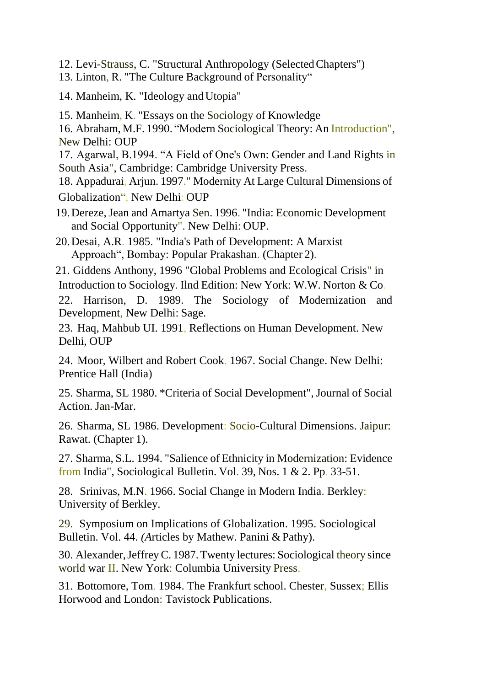- 12. Levi-Strauss, C. "Structural Anthropology (SelectedChapters")
- 13. Linton, R. "The Culture Background of Personality"
- 14. Manheim, K. "Ideology and Utopia"
- 15. Manheim, K. "Essays on the Sociology of Knowledge
- 16. Abraham, M.F. 1990. "Modern Sociological Theory: An Introduction", New Delhi: OUP
- 17. Agarwal, B.1994. "A Field of One's Own: Gender and Land Rights in South Asia", Cambridge: Cambridge University Press.
- 18. Appadurai, Arjun. 1997." Modernity At Large Cultural Dimensions of Globalization", New Delhi: OUP
- 19.Dereze,Jean and Amartya Sen. 1996. "India: Economic Development and Social Opportunity". New Delhi: OUP.
- 20.Desai, A.R. 1985. "India's Path of Development: A Marxist Approach", Bombay: Popular Prakashan. (Chapter 2).
- 21. Giddens Anthony, 1996 "Global Problems and Ecological Crisis" in
- Introduction to Sociology. Ilnd Edition: New York: W.W. Norton & Co.
- 22. Harrison, D. 1989. The Sociology of Modernization and Development, New Delhi: Sage.
- 23. Haq, Mahbub UI. 1991, Reflections on Human Development. New Delhi, OUP
- 24. Moor, Wilbert and Robert Cook. 1967. Social Change. New Delhi: Prentice Hall (India)
- 25. Sharma, SL 1980. \*Criteria of Social Development", Journal of Social Action. Jan-Mar.
- 26. Sharma, SL 1986. Development: Socio-Cultural Dimensions. Jaipur: Rawat. (Chapter 1).
- 27. Sharma, S.L. 1994. "Salience of Ethnicity in Modernization: Evidence from India", Sociological Bulletin. Vol. 39, Nos. 1 & 2. Pp. 33-51.
- 28. Srinivas, M.N. 1966. Social Change in Modern India. Berkley: University of Berkley.
- 29. Symposium on Implications of Globalization. 1995. Sociological Bulletin. Vol. 44. *(Articles by Mathew. Panini & Pathy).*
- 30. Alexander,JeffreyC. 1987.Twenty lectures: Sociological theory since world war II. New York: Columbia University Press.
- 31. Bottomore, Tom. 1984. The Frankfurt school. Chester, Sussex; Ellis Horwood and London: Tavistock Publications.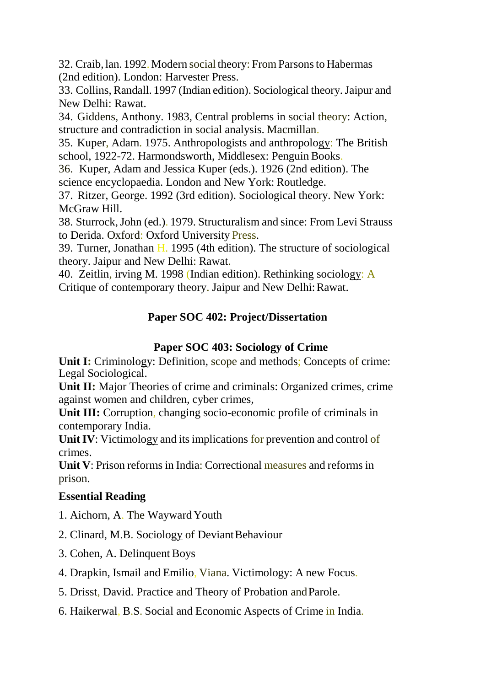32. Craib, lan. 1992.Modern social theory: FromParsonsto Habermas (2nd edition). London: Harvester Press.

33. Collins, Randall. 1997 (Indian edition). Sociological theory.Jaipur and New Delhi: Rawat.

34. Giddens, Anthony. 1983, Central problems in social theory: Action, structure and contradiction in social analysis. Macmillan.

35. Kuper, Adam. 1975. Anthropologists and anthropology: The British school, 1922-72. Harmondsworth, Middlesex: Penguin Books.

36. Kuper, Adam and Jessica Kuper (eds.). 1926 (2nd edition). The science encyclopaedia. London and New York: Routledge.

37. Ritzer, George. 1992 (3rd edition). Sociological theory. New York: McGraw Hill.

38. Sturrock,John (ed.). 1979. Structuralism and since: From Levi Strauss to Derida. Oxford: Oxford University Press.

39. Turner, Jonathan H. 1995 (4th edition). The structure of sociological theory. Jaipur and New Delhi: Rawat.

40. Zeitlin, irving M. 1998 (Indian edition). Rethinking sociology: A Critique of contemporary theory. Jaipur and New Delhi: Rawat.

## **Paper SOC 402: Project/Dissertation**

### **Paper SOC 403: Sociology of Crime**

**Unit I:** Criminology: Definition, scope and methods; Concepts of crime: Legal Sociological.

**Unit II:** Major Theories of crime and criminals: Organized crimes, crime against women and children, cyber crimes,

Unit III: Corruption, changing socio-economic profile of criminals in contemporary India.

Unit IV: Victimology and its implications for prevention and control of crimes.

**Unit V**: Prison reforms in India: Correctional measures and reforms in prison.

### **Essential Reading**

- 1. Aichorn, A. The Wayward Youth
- 2. Clinard, M.B. Sociology of DeviantBehaviour
- 3. Cohen, A. Delinquent Boys
- 4. Drapkin, Ismail and Emilio, Viana. Victimology: A new Focus.
- 5. Drisst, David. Practice and Theory of Probation andParole.
- 6. Haikerwal, B.S. Social and Economic Aspects of Crime in India.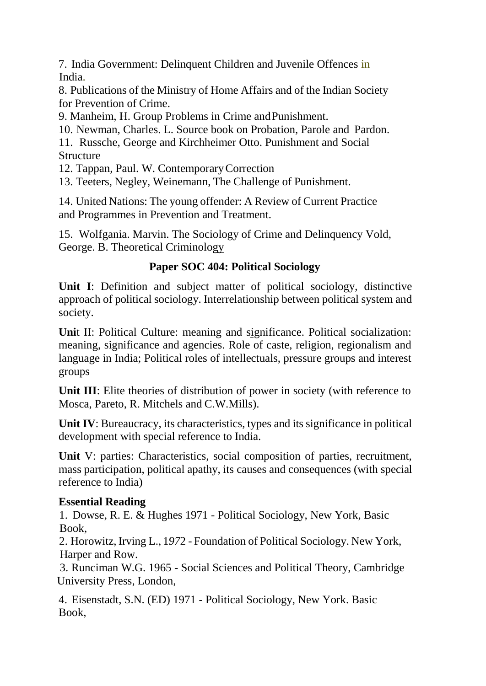7. India Government: Delinquent Children and Juvenile Offences in India.

8. Publications of the Ministry of Home Affairs and of the Indian Society for Prevention of Crime.

9. Manheim, H. Group Problems in Crime andPunishment.

10. Newman, Charles. L. Source book on Probation, Parole and Pardon.

11. Russche, George and Kirchheimer Otto. Punishment and Social **Structure** 

12. Tappan, Paul. W. ContemporaryCorrection

13. Teeters, Negley, Weinemann, The Challenge of Punishment.

14. United Nations: The young offender: A Review of Current Practice and Programmes in Prevention and Treatment.

15. Wolfgania. Marvin. The Sociology of Crime and Delinquency Vold, George. B. Theoretical Criminology

## **Paper SOC 404: Political Sociology**

**Unit I**: Definition and subject matter of political sociology, distinctive approach of political sociology. Interrelationship between political system and society.

**Uni**t II: Political Culture: meaning and significance. Political socialization: meaning, significance and agencies. Role of caste, religion, regionalism and language in India; Political roles of intellectuals, pressure groups and interest groups

**Unit III:** Elite theories of distribution of power in society (with reference to Mosca, Pareto, R. Mitchels and C.W.Mills).

**Unit IV**: Bureaucracy, its characteristics, types and its significance in political development with special reference to India.

**Unit** V: parties: Characteristics, social composition of parties, recruitment, mass participation, political apathy, its causes and consequences (with special reference to India)

## **Essential Reading**

1. Dowse, R. E. & Hughes 1971 - Political Sociology, New York, Basic Book,

2. Horowitz,Irving L., 1*97*2 - Foundation of Political Sociology. New York, Harper and Row.

3. Runciman W.G. 1965 - Social Sciences and Political Theory, Cambridge University Press, London,

4. Eisenstadt, S.N. (ED) 1971 - Political Sociology, New York. Basic Book,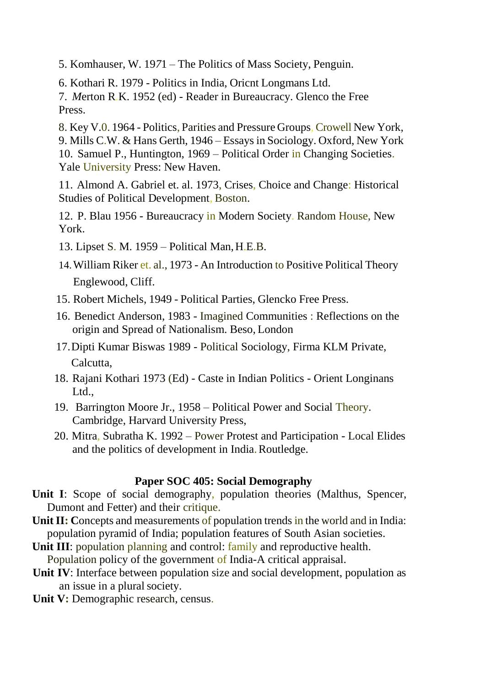5. Komhauser, W. 19*7*1 – The Politics of Mass Society, Penguin.

6. Kothari R. 1979 - Politics in India, Oricnt Longmans Ltd.

7. *M*erton R.K. 1952 (ed) - Reader in Bureaucracy. Glenco the Free Press.

8. Key V.0. 1964 - Politics, Parities and Pressure Groups, Crowell New York, 9. Mills C.W. & Hans Gerth, 1946 – Essays in Sociology. Oxford, New York 10. Samuel P., Huntington, 1969 – Political Order in Changing Societies. Yale University Press: New Haven.

11. Almond A. Gabriel et. al. 1973, Crises, Choice and Change: Historical Studies of Political Development, Boston.

12. P. Blau 1956 - Bureaucracy in Modern Society. Random House, New York.

- 13. Lipset S. M. 1959 Political Man,H.E.B.
- 14.William Riker et. al., 1973 An Introduction to Positive Political Theory Englewood, Cliff.
- 15. Robert Michels, 1949 Political Parties, Glencko Free Press.
- 16. Benedict Anderson, 1983 Imagined Communities : Reflections on the origin and Spread of Nationalism. Beso, London
- 17.Dipti Kumar Biswas 1989 Political Sociology, Firma KLM Private, Calcutta,
- 18. Rajani Kothari 1973 (Ed) Caste in Indian Politics Orient Longinans Ltd.,
- 19. Barrington Moore Jr., 1958 Political Power and Social Theory. Cambridge, Harvard University Press,
- 20. Mitra, Subratha K. 1992 Power Protest and Participation Local Elides and the politics of development in India.Routledge.

### **Paper SOC 405: Social Demography**

- Unit I: Scope of social demography, population theories (Malthus, Spencer, Dumont and Fetter) and their critique.
- **Unit II:** Concepts and measurements of population trends in the world and in India: population pyramid of India; population features of South Asian societies.
- **Unit III:** population planning and control: **family** and reproductive health. Population policy of the government of India-A critical appraisal.
- **Unit IV**: Interface between population size and social development, population as an issue in a plural society.
- Unit V: Demographic research, census.